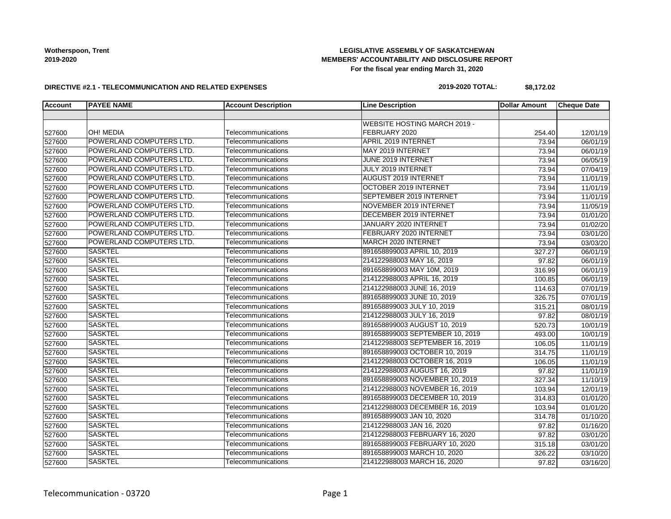### **LEGISLATIVE ASSEMBLY OF SASKATCHEWAN MEMBERS' ACCOUNTABILITY AND DISCLOSURE REPORT For the fiscal year ending March 31, 2020**

#### **DIRECTIVE #2.1 - TELECOMMUNICATION AND RELATED EXPENSES**

#### **2019-2020 TOTAL: \$8,172.02**

| <b>Account</b> | <b>PAYEE NAME</b>        | <b>Account Description</b> | <b>Line Description</b>         | <b>Dollar Amount</b> | <b>Cheque Date</b> |
|----------------|--------------------------|----------------------------|---------------------------------|----------------------|--------------------|
|                |                          |                            |                                 |                      |                    |
|                |                          |                            | WEBSITE HOSTING MARCH 2019 -    |                      |                    |
| 527600         | OH! MEDIA                | Telecommunications         | FEBRUARY 2020                   | 254.40               | 12/01/19           |
| 527600         | POWERLAND COMPUTERS LTD. | Telecommunications         | <b>APRIL 2019 INTERNET</b>      | 73.94                | 06/01/19           |
| 527600         | POWERLAND COMPUTERS LTD. | Telecommunications         | MAY 2019 INTERNET               | 73.94                | 06/01/19           |
| 527600         | POWERLAND COMPUTERS LTD. | Telecommunications         | JUNE 2019 INTERNET              | 73.94                | 06/05/19           |
| 527600         | POWERLAND COMPUTERS LTD. | Telecommunications         | JULY 2019 INTERNET              | 73.94                | 07/04/19           |
| 527600         | POWERLAND COMPUTERS LTD. | Telecommunications         | <b>AUGUST 2019 INTERNET</b>     | 73.94                | 11/01/19           |
| 527600         | POWERLAND COMPUTERS LTD. | Telecommunications         | OCTOBER 2019 INTERNET           | 73.94                | 11/01/19           |
| 527600         | POWERLAND COMPUTERS LTD. | Telecommunications         | SEPTEMBER 2019 INTERNET         | 73.94                | 11/01/19           |
| 527600         | POWERLAND COMPUTERS LTD. | Telecommunications         | NOVEMBER 2019 INTERNET          | 73.94                | 11/05/19           |
| 527600         | POWERLAND COMPUTERS LTD. | Telecommunications         | <b>DECEMBER 2019 INTERNET</b>   | 73.94                | 01/01/20           |
| 527600         | POWERLAND COMPUTERS LTD. | Telecommunications         | JANUARY 2020 INTERNET           | 73.94                | 01/02/20           |
| 527600         | POWERLAND COMPUTERS LTD. | Telecommunications         | FEBRUARY 2020 INTERNET          | 73.94                | 03/01/20           |
| 527600         | POWERLAND COMPUTERS LTD. | Telecommunications         | MARCH 2020 INTERNET             | 73.94                | 03/03/20           |
| 527600         | <b>SASKTEL</b>           | Telecommunications         | 891658899003 APRIL 10, 2019     | 327.27               | 06/01/19           |
| 527600         | <b>SASKTEL</b>           | Telecommunications         | 214122988003 MAY 16, 2019       | 97.82                | 06/01/19           |
| 527600         | <b>SASKTEL</b>           | Telecommunications         | 891658899003 MAY 10M, 2019      | 316.99               | 06/01/19           |
| 527600         | <b>SASKTEL</b>           | Telecommunications         | 214122988003 APRIL 16, 2019     | 100.85               | 06/01/19           |
| 527600         | <b>SASKTEL</b>           | Telecommunications         | 214122988003 JUNE 16, 2019      | 114.63               | 07/01/19           |
| 527600         | <b>SASKTEL</b>           | Telecommunications         | 891658899003 JUNE 10, 2019      | 326.75               | 07/01/19           |
| 527600         | <b>SASKTEL</b>           | Telecommunications         | 891658899003 JULY 10, 2019      | 315.21               | 08/01/19           |
| 527600         | <b>SASKTEL</b>           | Telecommunications         | 214122988003 JULY 16, 2019      | 97.82                | 08/01/19           |
| 527600         | <b>SASKTEL</b>           | Telecommunications         | 891658899003 AUGUST 10, 2019    | 520.73               | 10/01/19           |
| 527600         | <b>SASKTEL</b>           | Telecommunications         | 891658899003 SEPTEMBER 10, 2019 | 493.00               | 10/01/19           |
| 527600         | <b>SASKTEL</b>           | Telecommunications         | 214122988003 SEPTEMBER 16, 2019 | 106.05               | 11/01/19           |
| 527600         | <b>SASKTEL</b>           | Telecommunications         | 891658899003 OCTOBER 10, 2019   | 314.75               | 11/01/19           |
| 527600         | <b>SASKTEL</b>           | Telecommunications         | 214122988003 OCTOBER 16, 2019   | 106.05               | 11/01/19           |
| 527600         | <b>SASKTEL</b>           | Telecommunications         | 214122988003 AUGUST 16, 2019    | 97.82                | 11/01/19           |
| 527600         | <b>SASKTEL</b>           | Telecommunications         | 891658899003 NOVEMBER 10, 2019  | 327.34               | 11/10/19           |
| 527600         | <b>SASKTEL</b>           | Telecommunications         | 214122988003 NOVEMBER 16, 2019  | 103.94               | 12/01/19           |
| 527600         | <b>SASKTEL</b>           | Telecommunications         | 891658899003 DECEMBER 10, 2019  | 314.83               | 01/01/20           |
| 527600         | <b>SASKTEL</b>           | Telecommunications         | 214122988003 DECEMBER 16, 2019  | 103.94               | 01/01/20           |
| 527600         | <b>SASKTEL</b>           | Telecommunications         | 891658899003 JAN 10, 2020       | 314.78               | 01/10/20           |
| 527600         | <b>SASKTEL</b>           | Telecommunications         | 214122988003 JAN 16, 2020       | 97.82                | 01/16/20           |
| 527600         | <b>SASKTEL</b>           | Telecommunications         | 214122988003 FEBRUARY 16, 2020  | 97.82                | 03/01/20           |
| 527600         | <b>SASKTEL</b>           | Telecommunications         | 891658899003 FEBRUARY 10, 2020  | 315.18               | 03/01/20           |
| 527600         | <b>SASKTEL</b>           | Telecommunications         | 891658899003 MARCH 10, 2020     | 326.22               | 03/10/20           |
| 527600         | <b>SASKTEL</b>           | Telecommunications         | 214122988003 MARCH 16, 2020     | 97.82                | 03/16/20           |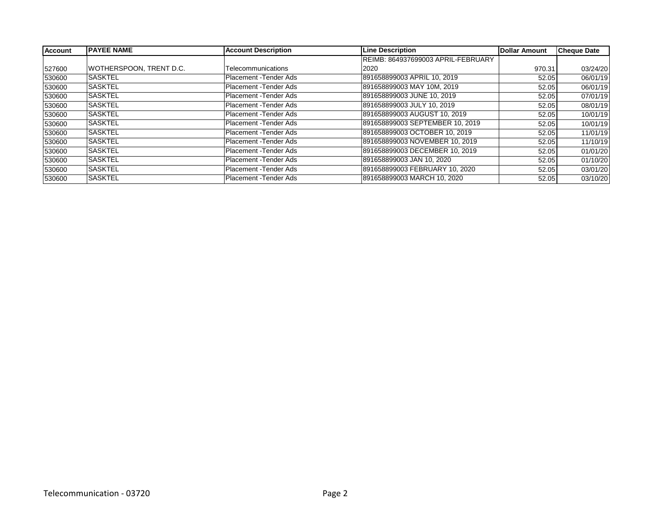| <b>Account</b> | <b>PAYEE NAME</b>       | <b>Account Description</b> | <b>Line Description</b>            | <b>Dollar Amount</b> | <b>Cheque Date</b> |
|----------------|-------------------------|----------------------------|------------------------------------|----------------------|--------------------|
|                |                         |                            | REIMB: 864937699003 APRIL-FEBRUARY |                      |                    |
| 527600         | WOTHERSPOON, TRENT D.C. | Telecommunications         | 2020                               | 970.31               | 03/24/20           |
| 530600         | <b>SASKTEL</b>          | Placement - Tender Ads     | 891658899003 APRIL 10, 2019        | 52.05                | 06/01/19           |
| 530600         | <b>SASKTEL</b>          | Placement - Tender Ads     | 891658899003 MAY 10M, 2019         | 52.05                | 06/01/19           |
| 530600         | <b>SASKTEL</b>          | Placement - Tender Ads     | 891658899003 JUNE 10, 2019         | 52.05                | 07/01/19           |
| 530600         | <b>SASKTEL</b>          | Placement - Tender Ads     | 891658899003 JULY 10, 2019         | 52.05                | 08/01/19           |
| 530600         | <b>SASKTEL</b>          | Placement - Tender Ads     | 891658899003 AUGUST 10, 2019       | 52.05                | 10/01/19           |
| 530600         | <b>SASKTEL</b>          | Placement - Tender Ads     | 891658899003 SEPTEMBER 10, 2019    | 52.05                | 10/01/19           |
| 530600         | <b>SASKTEL</b>          | Placement - Tender Ads     | 891658899003 OCTOBER 10, 2019      | 52.05                | 11/01/19           |
| 530600         | <b>SASKTEL</b>          | Placement - Tender Ads     | 891658899003 NOVEMBER 10, 2019     | 52.05                | 11/10/19           |
| 530600         | <b>SASKTEL</b>          | Placement - Tender Ads     | 891658899003 DECEMBER 10, 2019     | 52.05                | 01/01/20           |
| 530600         | <b>SASKTEL</b>          | Placement - Tender Ads     | 891658899003 JAN 10, 2020          | 52.05                | 01/10/20           |
| 530600         | <b>SASKTEL</b>          | Placement - Tender Ads     | 891658899003 FEBRUARY 10, 2020     | 52.05                | 03/01/20           |
| 530600         | ISASKTEL                | Placement - Tender Ads     | 891658899003 MARCH 10, 2020        | 52.05                | 03/10/20           |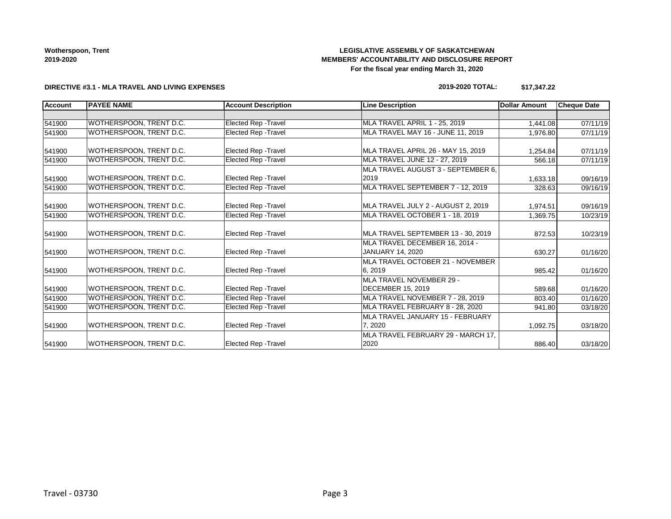### **LEGISLATIVE ASSEMBLY OF SASKATCHEWAN MEMBERS' ACCOUNTABILITY AND DISCLOSURE REPORT For the fiscal year ending March 31, 2020**

#### **DIRECTIVE #3.1 - MLA TRAVEL AND LIVING EXPENSES**

#### **2019-2020 TOTAL: \$17,347.22**

| <b>Account</b> | <b>PAYEE NAME</b>       | <b>Account Description</b>  | <b>Line Description</b>                              | <b>Dollar Amount</b> | <b>Cheque Date</b> |
|----------------|-------------------------|-----------------------------|------------------------------------------------------|----------------------|--------------------|
|                |                         |                             |                                                      |                      |                    |
| 541900         | WOTHERSPOON. TRENT D.C. | <b>Elected Rep - Travel</b> | MLA TRAVEL APRIL 1 - 25. 2019                        | 1,441.08             | 07/11/19           |
| 541900         | WOTHERSPOON, TRENT D.C. | Elected Rep - Travel        | MLA TRAVEL MAY 16 - JUNE 11, 2019                    | 1,976.80             | 07/11/19           |
| 541900         | WOTHERSPOON, TRENT D.C. | <b>Elected Rep - Travel</b> | MLA TRAVEL APRIL 26 - MAY 15, 2019                   | 1,254.84             | 07/11/19           |
| 541900         | WOTHERSPOON, TRENT D.C. | Elected Rep - Travel        | MLA TRAVEL JUNE 12 - 27, 2019                        | 566.18               | 07/11/19           |
|                |                         |                             | IMLA TRAVEL AUGUST 3 - SEPTEMBER 6.                  |                      |                    |
| 541900         | WOTHERSPOON, TRENT D.C. | <b>Elected Rep - Travel</b> | 2019                                                 | 1,633.18             | 09/16/19           |
| 541900         | WOTHERSPOON, TRENT D.C. | <b>Elected Rep - Travel</b> | MLA TRAVEL SEPTEMBER 7 - 12, 2019                    | 328.63               | 09/16/19           |
| 541900         | WOTHERSPOON, TRENT D.C. | <b>Elected Rep - Travel</b> | MLA TRAVEL JULY 2 - AUGUST 2, 2019                   | 1,974.51             | 09/16/19           |
| 541900         | WOTHERSPOON, TRENT D.C. | Elected Rep - Travel        | MLA TRAVEL OCTOBER 1 - 18, 2019                      | 1,369.75             | 10/23/19           |
| 541900         | WOTHERSPOON. TRENT D.C. | Elected Rep - Travel        | MLA TRAVEL SEPTEMBER 13 - 30, 2019                   | 872.53               | 10/23/19           |
| 541900         | WOTHERSPOON, TRENT D.C. | <b>Elected Rep - Travel</b> | MLA TRAVEL DECEMBER 16, 2014 -<br>JANUARY 14, 2020   | 630.27               | 01/16/20           |
| 541900         | WOTHERSPOON, TRENT D.C. | <b>Elected Rep - Travel</b> | MLA TRAVEL OCTOBER 21 - NOVEMBER<br>6, 2019          | 985.42               | 01/16/20           |
| 541900         | WOTHERSPOON, TRENT D.C. | <b>Elected Rep - Travel</b> | MLA TRAVEL NOVEMBER 29 -<br><b>DECEMBER 15, 2019</b> | 589.68               | 01/16/20           |
| 541900         | WOTHERSPOON, TRENT D.C. | Elected Rep - Travel        | MLA TRAVEL NOVEMBER 7 - 28, 2019                     | 803.40               | 01/16/20           |
| 541900         | WOTHERSPOON, TRENT D.C. | Elected Rep - Travel        | MLA TRAVEL FEBRUARY 8 - 28, 2020                     | 941.80               | 03/18/20           |
| 541900         | WOTHERSPOON, TRENT D.C. | Elected Rep - Travel        | MLA TRAVEL JANUARY 15 - FEBRUARY<br>7.2020           | 1,092.75             | 03/18/20           |
| 541900         | WOTHERSPOON, TRENT D.C. | <b>Elected Rep - Travel</b> | MLA TRAVEL FEBRUARY 29 - MARCH 17,<br>2020           | 886.40               | 03/18/20           |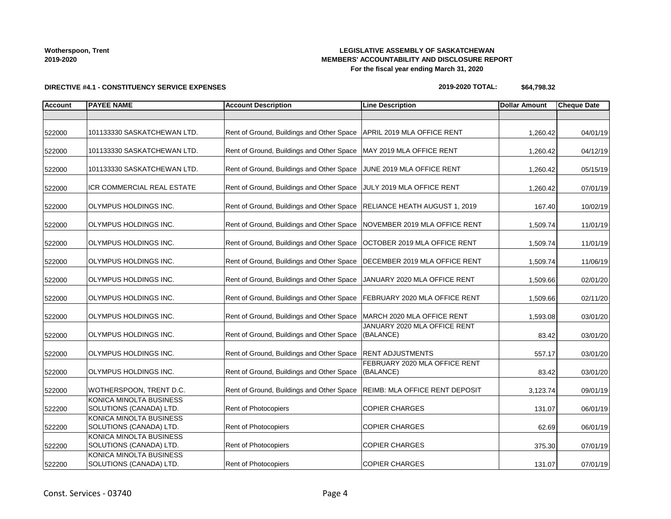### **LEGISLATIVE ASSEMBLY OF SASKATCHEWAN MEMBERS' ACCOUNTABILITY AND DISCLOSURE REPORT For the fiscal year ending March 31, 2020**

**DIRECTIVE #4.1 - CONSTITUENCY SERVICE EXPENSES**

#### **2019-2020 TOTAL: \$64,798.32**

| <b>Account</b> | <b>PAYEE NAME</b>                                  | <b>Account Description</b>                                                 | <b>Line Description</b>                    | <b>Dollar Amount</b> | <b>Cheque Date</b> |
|----------------|----------------------------------------------------|----------------------------------------------------------------------------|--------------------------------------------|----------------------|--------------------|
|                |                                                    |                                                                            |                                            |                      |                    |
| 522000         | 101133330 SASKATCHEWAN LTD.                        | Rent of Ground, Buildings and Other Space   APRIL 2019 MLA OFFICE RENT     |                                            | 1,260.42             | 04/01/19           |
| 522000         | 101133330 SASKATCHEWAN LTD.                        | Rent of Ground, Buildings and Other Space                                  | MAY 2019 MLA OFFICE RENT                   | 1,260.42             | 04/12/19           |
| 522000         | 101133330 SASKATCHEWAN LTD.                        | Rent of Ground, Buildings and Other Space                                  | JUNE 2019 MLA OFFICE RENT                  | 1,260.42             | 05/15/19           |
| 522000         | ICR COMMERCIAL REAL ESTATE                         | Rent of Ground, Buildings and Other Space                                  | JULY 2019 MLA OFFICE RENT                  | 1,260.42             | 07/01/19           |
| 522000         | OLYMPUS HOLDINGS INC.                              | Rent of Ground, Buildings and Other Space   RELIANCE HEATH AUGUST 1, 2019  |                                            | 167.40               | 10/02/19           |
| 522000         | OLYMPUS HOLDINGS INC.                              | Rent of Ground, Buildings and Other Space   NOVEMBER 2019 MLA OFFICE RENT  |                                            | 1,509.74             | 11/01/19           |
| 522000         | OLYMPUS HOLDINGS INC.                              | Rent of Ground, Buildings and Other Space                                  | OCTOBER 2019 MLA OFFICE RENT               | 1,509.74             | 11/01/19           |
| 522000         | OLYMPUS HOLDINGS INC.                              | Rent of Ground, Buildings and Other Space                                  | DECEMBER 2019 MLA OFFICE RENT              | 1,509.74             | 11/06/19           |
| 522000         | OLYMPUS HOLDINGS INC.                              | Rent of Ground, Buildings and Other Space                                  | JANUARY 2020 MLA OFFICE RENT               | 1,509.66             | 02/01/20           |
| 522000         | OLYMPUS HOLDINGS INC.                              | Rent of Ground, Buildings and Other Space                                  | FEBRUARY 2020 MLA OFFICE RENT              | 1,509.66             | 02/11/20           |
| 522000         | OLYMPUS HOLDINGS INC.                              | Rent of Ground, Buildings and Other Space                                  | MARCH 2020 MLA OFFICE RENT                 | 1,593.08             | 03/01/20           |
| 522000         | OLYMPUS HOLDINGS INC.                              | Rent of Ground, Buildings and Other Space                                  | JANUARY 2020 MLA OFFICE RENT<br>(BALANCE)  | 83.42                | 03/01/20           |
| 522000         | OLYMPUS HOLDINGS INC.                              | Rent of Ground, Buildings and Other Space   RENT ADJUSTMENTS               |                                            | 557.17               | 03/01/20           |
| 522000         | OLYMPUS HOLDINGS INC.                              | Rent of Ground, Buildings and Other Space                                  | FEBRUARY 2020 MLA OFFICE RENT<br>(BALANCE) | 83.42                | 03/01/20           |
| 522000         | WOTHERSPOON, TRENT D.C.                            | Rent of Ground, Buildings and Other Space   REIMB: MLA OFFICE RENT DEPOSIT |                                            | 3,123.74             | 09/01/19           |
| 522200         | KONICA MINOLTA BUSINESS<br>SOLUTIONS (CANADA) LTD. | Rent of Photocopiers                                                       | <b>COPIER CHARGES</b>                      | 131.07               | 06/01/19           |
| 522200         | KONICA MINOLTA BUSINESS<br>SOLUTIONS (CANADA) LTD. | Rent of Photocopiers                                                       | <b>COPIER CHARGES</b>                      | 62.69                | 06/01/19           |
| 522200         | KONICA MINOLTA BUSINESS<br>SOLUTIONS (CANADA) LTD. | Rent of Photocopiers                                                       | <b>COPIER CHARGES</b>                      | 375.30               | 07/01/19           |
| 522200         | KONICA MINOLTA BUSINESS<br>SOLUTIONS (CANADA) LTD. | Rent of Photocopiers                                                       | <b>COPIER CHARGES</b>                      | 131.07               | 07/01/19           |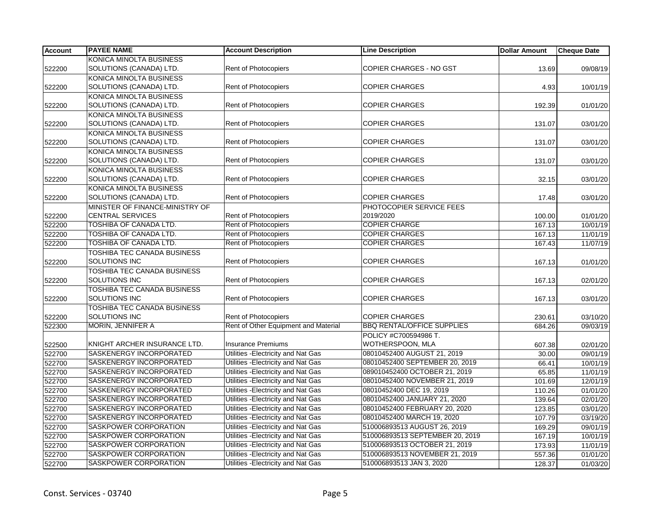| <b>Account</b> | <b>PAYEE NAME</b>                  | <b>Account Description</b>           | <b>Line Description</b>           | <b>Dollar Amount</b> | <b>Cheque Date</b> |
|----------------|------------------------------------|--------------------------------------|-----------------------------------|----------------------|--------------------|
|                | KONICA MINOLTA BUSINESS            |                                      |                                   |                      |                    |
| 522200         | SOLUTIONS (CANADA) LTD.            | Rent of Photocopiers                 | <b>COPIER CHARGES - NO GST</b>    | 13.69                | 09/08/19           |
|                | KONICA MINOLTA BUSINESS            |                                      |                                   |                      |                    |
| 522200         | SOLUTIONS (CANADA) LTD.            | Rent of Photocopiers                 | <b>COPIER CHARGES</b>             | 4.93                 | 10/01/19           |
|                | KONICA MINOLTA BUSINESS            |                                      |                                   |                      |                    |
| 522200         | SOLUTIONS (CANADA) LTD.            | <b>Rent of Photocopiers</b>          | <b>COPIER CHARGES</b>             | 192.39               | 01/01/20           |
|                | KONICA MINOLTA BUSINESS            |                                      |                                   |                      |                    |
| 522200         | SOLUTIONS (CANADA) LTD.            | <b>Rent of Photocopiers</b>          | <b>COPIER CHARGES</b>             | 131.07               | 03/01/20           |
|                | KONICA MINOLTA BUSINESS            |                                      |                                   |                      |                    |
| 522200         | SOLUTIONS (CANADA) LTD.            | Rent of Photocopiers                 | <b>COPIER CHARGES</b>             | 131.07               | 03/01/20           |
|                | KONICA MINOLTA BUSINESS            |                                      |                                   |                      |                    |
| 522200         | SOLUTIONS (CANADA) LTD.            | <b>Rent of Photocopiers</b>          | <b>COPIER CHARGES</b>             | 131.07               | 03/01/20           |
|                | KONICA MINOLTA BUSINESS            |                                      |                                   |                      |                    |
| 522200         | SOLUTIONS (CANADA) LTD.            | <b>Rent of Photocopiers</b>          | <b>COPIER CHARGES</b>             | 32.15                | 03/01/20           |
|                | KONICA MINOLTA BUSINESS            |                                      |                                   |                      |                    |
| 522200         | SOLUTIONS (CANADA) LTD.            | <b>Rent of Photocopiers</b>          | <b>COPIER CHARGES</b>             | 17.48                | 03/01/20           |
|                | MINISTER OF FINANCE-MINISTRY OF    |                                      | PHOTOCOPIER SERVICE FEES          |                      |                    |
| 522200         | <b>CENTRAL SERVICES</b>            | Rent of Photocopiers                 | 2019/2020                         | 100.00               | 01/01/20           |
| 522200         | TOSHIBA OF CANADA LTD.             | <b>Rent of Photocopiers</b>          | <b>COPIER CHARGE</b>              | 167.13               | 10/01/19           |
| 522200         | TOSHIBA OF CANADA LTD.             | Rent of Photocopiers                 | <b>COPIER CHARGES</b>             | 167.13               | 11/01/19           |
| 522200         | TOSHIBA OF CANADA LTD.             | Rent of Photocopiers                 | <b>COPIER CHARGES</b>             | 167.43               | 11/07/19           |
|                | <b>TOSHIBA TEC CANADA BUSINESS</b> |                                      |                                   |                      |                    |
| 522200         | SOLUTIONS INC                      | Rent of Photocopiers                 | <b>COPIER CHARGES</b>             | 167.13               | 01/01/20           |
|                | TOSHIBA TEC CANADA BUSINESS        |                                      |                                   |                      |                    |
| 522200         | SOLUTIONS INC                      | <b>Rent of Photocopiers</b>          | <b>COPIER CHARGES</b>             | 167.13               | 02/01/20           |
|                | TOSHIBA TEC CANADA BUSINESS        |                                      |                                   |                      |                    |
| 522200         | <b>SOLUTIONS INC</b>               | <b>Rent of Photocopiers</b>          | <b>COPIER CHARGES</b>             | 167.13               | 03/01/20           |
|                | TOSHIBA TEC CANADA BUSINESS        |                                      |                                   |                      |                    |
| 522200         | SOLUTIONS INC                      | Rent of Photocopiers                 | <b>COPIER CHARGES</b>             | 230.61               | 03/10/20           |
| 522300         | MORIN, JENNIFER A                  | Rent of Other Equipment and Material | <b>BBQ RENTAL/OFFICE SUPPLIES</b> | 684.26               | 09/03/19           |
|                |                                    |                                      | POLICY #C700594986 T.             |                      |                    |
| 522500         | KNIGHT ARCHER INSURANCE LTD.       | <b>Insurance Premiums</b>            | WOTHERSPOON, MLA                  | 607.38               | 02/01/20           |
| 522700         | SASKENERGY INCORPORATED            | Utilities - Electricity and Nat Gas  | 08010452400 AUGUST 21, 2019       | 30.00                | 09/01/19           |
| 522700         | SASKENERGY INCORPORATED            | Utilities - Electricity and Nat Gas  | 08010452400 SEPTEMBER 20, 2019    | 66.41                | 10/01/19           |
| 522700         | SASKENERGY INCORPORATED            | Utilities - Electricity and Nat Gas  | 089010452400 OCTOBER 21, 2019     | 65.85                | 11/01/19           |
| 522700         | SASKENERGY INCORPORATED            | Utilities - Electricity and Nat Gas  | 08010452400 NOVEMBER 21, 2019     | 101.69               | 12/01/19           |
| 522700         | SASKENERGY INCORPORATED            | Utilities - Electricity and Nat Gas  | 08010452400 DEC 19, 2019          | 110.26               | 01/01/20           |
| 522700         | SASKENERGY INCORPORATED            | Utilities - Electricity and Nat Gas  | 08010452400 JANUARY 21, 2020      | 139.64               | 02/01/20           |
| 522700         | SASKENERGY INCORPORATED            | Utilities - Electricity and Nat Gas  | 08010452400 FEBRUARY 20, 2020     | 123.85               | 03/01/20           |
| 522700         | SASKENERGY INCORPORATED            | Utilities - Electricity and Nat Gas  | 08010452400 MARCH 19, 2020        | 107.79               | 03/19/20           |
| 522700         | SASKPOWER CORPORATION              | Utilities - Electricity and Nat Gas  | 510006893513 AUGUST 26, 2019      | 169.29               | 09/01/19           |
| 522700         | SASKPOWER CORPORATION              | Utilities - Electricity and Nat Gas  | 510006893513 SEPTEMBER 20, 2019   | 167.19               | 10/01/19           |
| 522700         | SASKPOWER CORPORATION              | Utilities - Electricity and Nat Gas  | 510006893513 OCTOBER 21, 2019     | 173.93               | 11/01/19           |
| 522700         | SASKPOWER CORPORATION              | Utilities - Electricity and Nat Gas  | 510006893513 NOVEMBER 21, 2019    | 557.36               | 01/01/20           |
| 522700         | SASKPOWER CORPORATION              | Utilities - Electricity and Nat Gas  | 510006893513 JAN 3, 2020          | 128.37               | 01/03/20           |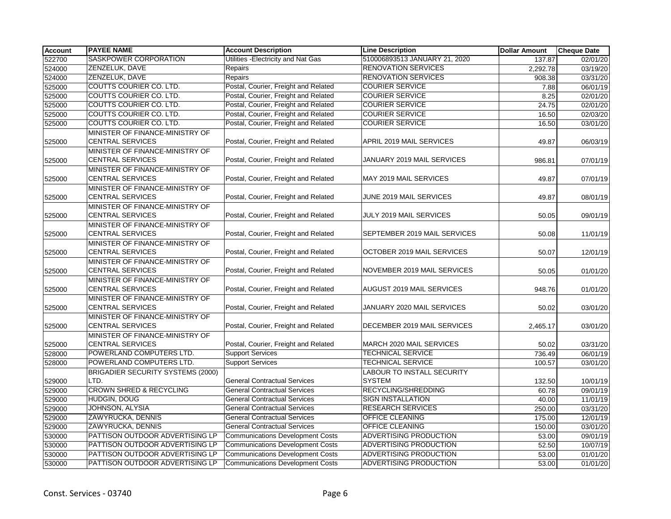| <b>Account</b> | <b>PAYEE NAME</b>                                          | <b>Account Description</b>              | <b>Line Description</b>                            | <b>Dollar Amount</b> | <b>Cheque Date</b> |
|----------------|------------------------------------------------------------|-----------------------------------------|----------------------------------------------------|----------------------|--------------------|
| 522700         | SASKPOWER CORPORATION                                      | Utilities - Electricity and Nat Gas     | 510006893513 JANUARY 21, 2020                      | 137.87               | 02/01/20           |
| 524000         | ZENZELUK, DAVE                                             | Repairs                                 | <b>RENOVATION SERVICES</b>                         | 2,292.78             | 03/19/20           |
| 524000         | ZENZELUK, DAVE                                             | Repairs                                 | <b>RENOVATION SERVICES</b>                         | 908.38               | 03/31/20           |
| 525000         | COUTTS COURIER CO. LTD.                                    | Postal, Courier, Freight and Related    | <b>COURIER SERVICE</b>                             | 7.88                 | 06/01/19           |
| 525000         | COUTTS COURIER CO. LTD.                                    | Postal, Courier, Freight and Related    | <b>COURIER SERVICE</b>                             | 8.25                 | 02/01/20           |
| 525000         | COUTTS COURIER CO. LTD.                                    | Postal, Courier, Freight and Related    | <b>COURIER SERVICE</b>                             | 24.75                | 02/01/20           |
| 525000         | <b>COUTTS COURIER CO. LTD.</b>                             | Postal, Courier, Freight and Related    | <b>COURIER SERVICE</b>                             | 16.50                | 02/03/20           |
| 525000         | COUTTS COURIER CO. LTD.                                    | Postal, Courier, Freight and Related    | <b>COURIER SERVICE</b>                             | 16.50                | 03/01/20           |
| 525000         | MINISTER OF FINANCE-MINISTRY OF<br><b>CENTRAL SERVICES</b> | Postal, Courier, Freight and Related    | APRIL 2019 MAIL SERVICES                           | 49.87                | 06/03/19           |
| 525000         | MINISTER OF FINANCE-MINISTRY OF<br><b>CENTRAL SERVICES</b> | Postal, Courier, Freight and Related    | JANUARY 2019 MAIL SERVICES                         | 986.81               | 07/01/19           |
| 525000         | MINISTER OF FINANCE-MINISTRY OF<br><b>CENTRAL SERVICES</b> | Postal, Courier, Freight and Related    | MAY 2019 MAIL SERVICES                             | 49.87                | 07/01/19           |
| 525000         | MINISTER OF FINANCE-MINISTRY OF<br><b>CENTRAL SERVICES</b> | Postal, Courier, Freight and Related    | JUNE 2019 MAIL SERVICES                            | 49.87                | 08/01/19           |
| 525000         | MINISTER OF FINANCE-MINISTRY OF<br><b>CENTRAL SERVICES</b> | Postal, Courier, Freight and Related    | JULY 2019 MAIL SERVICES                            | 50.05                | 09/01/19           |
| 525000         | MINISTER OF FINANCE-MINISTRY OF<br><b>CENTRAL SERVICES</b> | Postal, Courier, Freight and Related    | SEPTEMBER 2019 MAIL SERVICES                       | 50.08                | 11/01/19           |
| 525000         | MINISTER OF FINANCE-MINISTRY OF<br><b>CENTRAL SERVICES</b> | Postal, Courier, Freight and Related    | OCTOBER 2019 MAIL SERVICES                         | 50.07                | 12/01/19           |
| 525000         | MINISTER OF FINANCE-MINISTRY OF<br><b>CENTRAL SERVICES</b> | Postal, Courier, Freight and Related    | NOVEMBER 2019 MAIL SERVICES                        | 50.05                | 01/01/20           |
| 525000         | MINISTER OF FINANCE-MINISTRY OF<br><b>CENTRAL SERVICES</b> | Postal, Courier, Freight and Related    | <b>AUGUST 2019 MAIL SERVICES</b>                   | 948.76               | 01/01/20           |
| 525000         | MINISTER OF FINANCE-MINISTRY OF<br><b>CENTRAL SERVICES</b> | Postal, Courier, Freight and Related    | JANUARY 2020 MAIL SERVICES                         | 50.02                | 03/01/20           |
| 525000         | MINISTER OF FINANCE-MINISTRY OF<br><b>CENTRAL SERVICES</b> | Postal, Courier, Freight and Related    | DECEMBER 2019 MAIL SERVICES                        | 2,465.17             | 03/01/20           |
| 525000         | MINISTER OF FINANCE-MINISTRY OF<br><b>CENTRAL SERVICES</b> | Postal, Courier, Freight and Related    | MARCH 2020 MAIL SERVICES                           | 50.02                | 03/31/20           |
| 528000         | POWERLAND COMPUTERS LTD.                                   | <b>Support Services</b>                 | <b>TECHNICAL SERVICE</b>                           | 736.49               | 06/01/19           |
| 528000         | POWERLAND COMPUTERS LTD.                                   | <b>Support Services</b>                 | <b>TECHNICAL SERVICE</b>                           | 100.57               | 03/01/20           |
| 529000         | BRIGADIER SECURITY SYSTEMS (2000)<br>LTD.                  | <b>General Contractual Services</b>     | <b>LABOUR TO INSTALL SECURITY</b><br><b>SYSTEM</b> | 132.50               | 10/01/19           |
| 529000         | <b>CROWN SHRED &amp; RECYCLING</b>                         | <b>General Contractual Services</b>     | RECYCLING/SHREDDING                                | 60.78                | 09/01/19           |
| 529000         | HUDGIN, DOUG                                               | <b>General Contractual Services</b>     | <b>SIGN INSTALLATION</b>                           | 40.00                | 11/01/19           |
| 529000         | JOHNSON, ALYSIA                                            | <b>General Contractual Services</b>     | <b>RESEARCH SERVICES</b>                           | 250.00               | 03/31/20           |
| 529000         | ZAWYRUCKA, DENNIS                                          | <b>General Contractual Services</b>     | OFFICE CLEANING                                    | 175.00               | 12/01/19           |
| 529000         | ZAWYRUCKA, DENNIS                                          | <b>General Contractual Services</b>     | <b>OFFICE CLEANING</b>                             | 150.00               | 03/01/20           |
| 530000         | PATTISON OUTDOOR ADVERTISING LP                            | <b>Communications Development Costs</b> | ADVERTISING PRODUCTION                             | 53.00                | 09/01/19           |
| 530000         | PATTISON OUTDOOR ADVERTISING LP                            | <b>Communications Development Costs</b> | ADVERTISING PRODUCTION                             | 52.50                | 10/07/19           |
| 530000         | PATTISON OUTDOOR ADVERTISING LP                            | <b>Communications Development Costs</b> | <b>ADVERTISING PRODUCTION</b>                      | 53.00                | 01/01/20           |
| 530000         | PATTISON OUTDOOR ADVERTISING LP                            | <b>Communications Development Costs</b> | <b>ADVERTISING PRODUCTION</b>                      | 53.00                | 01/01/20           |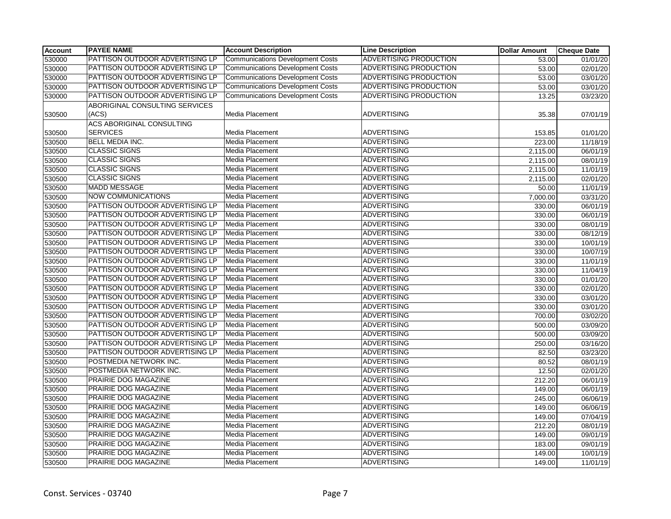| <b>Account</b> | <b>PAYEE NAME</b>                | <b>Account Description</b>              | <b>Line Description</b>       | <b>Dollar Amount</b> | <b>Cheque Date</b> |
|----------------|----------------------------------|-----------------------------------------|-------------------------------|----------------------|--------------------|
| 530000         | PATTISON OUTDOOR ADVERTISING LP  | <b>Communications Development Costs</b> | <b>ADVERTISING PRODUCTION</b> | 53.00                | 01/01/20           |
| 530000         | PATTISON OUTDOOR ADVERTISING LP  | <b>Communications Development Costs</b> | <b>ADVERTISING PRODUCTION</b> | 53.00                | 02/01/20           |
| 530000         | PATTISON OUTDOOR ADVERTISING LP  | <b>Communications Development Costs</b> | ADVERTISING PRODUCTION        | 53.00                | 03/01/20           |
| 530000         | PATTISON OUTDOOR ADVERTISING LP  | <b>Communications Development Costs</b> | <b>ADVERTISING PRODUCTION</b> | 53.00                | 03/01/20           |
| 530000         | PATTISON OUTDOOR ADVERTISING LP  | <b>Communications Development Costs</b> | <b>ADVERTISING PRODUCTION</b> | 13.25                | 03/23/20           |
|                | ABORIGINAL CONSULTING SERVICES   |                                         |                               |                      |                    |
| 530500         | (ACS)                            | Media Placement                         | <b>ADVERTISING</b>            | 35.38                | 07/01/19           |
|                | <b>ACS ABORIGINAL CONSULTING</b> |                                         |                               |                      |                    |
| 530500         | <b>SERVICES</b>                  | Media Placement                         | <b>ADVERTISING</b>            | 153.85               | 01/01/20           |
| 530500         | <b>BELL MEDIA INC.</b>           | Media Placement                         | <b>ADVERTISING</b>            | 223.00               | 11/18/19           |
| 530500         | <b>CLASSIC SIGNS</b>             | Media Placement                         | <b>ADVERTISING</b>            | 2,115.00             | 06/01/19           |
| 530500         | <b>CLASSIC SIGNS</b>             | Media Placement                         | <b>ADVERTISING</b>            | 2,115.00             | 08/01/19           |
| 530500         | <b>CLASSIC SIGNS</b>             | Media Placement                         | <b>ADVERTISING</b>            | 2,115.00             | 11/01/19           |
| 530500         | <b>CLASSIC SIGNS</b>             | Media Placement                         | <b>ADVERTISING</b>            | 2,115.00             | 02/01/20           |
| 530500         | <b>MADD MESSAGE</b>              | Media Placement                         | <b>ADVERTISING</b>            | 50.00                | 11/01/19           |
| 530500         | <b>NOW COMMUNICATIONS</b>        | Media Placement                         | <b>ADVERTISING</b>            | 7,000.00             | 03/31/20           |
| 530500         | PATTISON OUTDOOR ADVERTISING LP  | Media Placement                         | <b>ADVERTISING</b>            | 330.00               | 06/01/19           |
| 530500         | PATTISON OUTDOOR ADVERTISING LP  | Media Placement                         | <b>ADVERTISING</b>            | 330.00               | 06/01/19           |
| 530500         | PATTISON OUTDOOR ADVERTISING LP  | Media Placement                         | <b>ADVERTISING</b>            | 330.00               | 08/01/19           |
| 530500         | PATTISON OUTDOOR ADVERTISING LP  | Media Placement                         | <b>ADVERTISING</b>            | 330.00               | 08/12/19           |
| 530500         | PATTISON OUTDOOR ADVERTISING LP  | Media Placement                         | <b>ADVERTISING</b>            | 330.00               | 10/01/19           |
| 530500         | PATTISON OUTDOOR ADVERTISING LP  | Media Placement                         | <b>ADVERTISING</b>            | 330.00               | 10/07/19           |
| 530500         | PATTISON OUTDOOR ADVERTISING LP  | Media Placement                         | <b>ADVERTISING</b>            | 330.00               | 11/01/19           |
| 530500         | PATTISON OUTDOOR ADVERTISING LP  | Media Placement                         | <b>ADVERTISING</b>            | 330.00               | 11/04/19           |
| 530500         | PATTISON OUTDOOR ADVERTISING LP  | Media Placement                         | <b>ADVERTISING</b>            | 330.00               | 01/01/20           |
| 530500         | PATTISON OUTDOOR ADVERTISING LP  | Media Placement                         | <b>ADVERTISING</b>            | 330.00               | 02/01/20           |
| 530500         | PATTISON OUTDOOR ADVERTISING LP  | <b>Media Placement</b>                  | <b>ADVERTISING</b>            | 330.00               | 03/01/20           |
| 530500         | PATTISON OUTDOOR ADVERTISING LP  | Media Placement                         | <b>ADVERTISING</b>            | 330.00               | 03/01/20           |
| 530500         | PATTISON OUTDOOR ADVERTISING LP  | Media Placement                         | <b>ADVERTISING</b>            | 700.00               | 03/02/20           |
| 530500         | PATTISON OUTDOOR ADVERTISING LP  | Media Placement                         | <b>ADVERTISING</b>            | 500.00               | 03/09/20           |
| 530500         | PATTISON OUTDOOR ADVERTISING LP  | Media Placement                         | <b>ADVERTISING</b>            | 500.00               | 03/09/20           |
| 530500         | PATTISON OUTDOOR ADVERTISING LP  | Media Placement                         | <b>ADVERTISING</b>            | 250.00               | 03/16/20           |
| 530500         | PATTISON OUTDOOR ADVERTISING LP  | Media Placement                         | <b>ADVERTISING</b>            | 82.50                | 03/23/20           |
| 530500         | POSTMEDIA NETWORK INC.           | Media Placement                         | <b>ADVERTISING</b>            | 80.52                | 08/01/19           |
| 530500         | POSTMEDIA NETWORK INC.           | Media Placement                         | <b>ADVERTISING</b>            | 12.50                | 02/01/20           |
| 530500         | PRAIRIE DOG MAGAZINE             | Media Placement                         | <b>ADVERTISING</b>            | 212.20               | 06/01/19           |
| 530500         | PRAIRIE DOG MAGAZINE             | Media Placement                         | <b>ADVERTISING</b>            | 149.00               | 06/01/19           |
| 530500         | PRAIRIE DOG MAGAZINE             | Media Placement                         | <b>ADVERTISING</b>            | 245.00               | 06/06/19           |
| 530500         | PRAIRIE DOG MAGAZINE             | Media Placement                         | <b>ADVERTISING</b>            | 149.00               | 06/06/19           |
| 530500         | PRAIRIE DOG MAGAZINE             | Media Placement                         | <b>ADVERTISING</b>            | 149.00               | 07/04/19           |
| 530500         | PRAIRIE DOG MAGAZINE             | Media Placement                         | <b>ADVERTISING</b>            | 212.20               | 08/01/19           |
| 530500         | <b>PRAIRIE DOG MAGAZINE</b>      | Media Placement                         | <b>ADVERTISING</b>            | 149.00               | 09/01/19           |
| 530500         | PRAIRIE DOG MAGAZINE             | Media Placement                         | <b>ADVERTISING</b>            | 183.00               | 09/01/19           |
| 530500         | PRAIRIE DOG MAGAZINE             | Media Placement                         | <b>ADVERTISING</b>            | 149.00               | 10/01/19           |
| 530500         | PRAIRIE DOG MAGAZINE             | Media Placement                         | <b>ADVERTISING</b>            | 149.00               | 11/01/19           |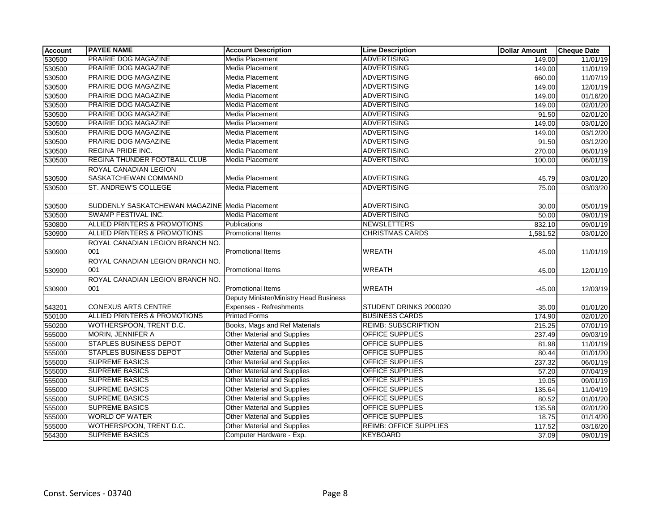| <b>Account</b> | <b>PAYEE NAME</b>                              | <b>Account Description</b>             | <b>Line Description</b>       | <b>Dollar Amount</b> | <b>Cheque Date</b> |
|----------------|------------------------------------------------|----------------------------------------|-------------------------------|----------------------|--------------------|
| 530500         | <b>PRAIRIE DOG MAGAZINE</b>                    | <b>Media Placement</b>                 | <b>ADVERTISING</b>            | 149.00               | 11/01/19           |
| 530500         | PRAIRIE DOG MAGAZINE                           | <b>Media Placement</b>                 | <b>ADVERTISING</b>            | 149.00               | 11/01/19           |
| 530500         | <b>PRAIRIE DOG MAGAZINE</b>                    | <b>Media Placement</b>                 | <b>ADVERTISING</b>            | 660.00               | 11/07/19           |
| 530500         | PRAIRIE DOG MAGAZINE                           | Media Placement                        | <b>ADVERTISING</b>            | 149.00               | 12/01/19           |
| 530500         | PRAIRIE DOG MAGAZINE                           | Media Placement                        | <b>ADVERTISING</b>            | 149.00               | 01/16/20           |
| 530500         | PRAIRIE DOG MAGAZINE                           | Media Placement                        | <b>ADVERTISING</b>            | 149.00               | 02/01/20           |
| 530500         | <b>PRAIRIE DOG MAGAZINE</b>                    | <b>Media Placement</b>                 | <b>ADVERTISING</b>            | 91.50                | 02/01/20           |
| 530500         | <b>PRAIRIE DOG MAGAZINE</b>                    | <b>Media Placement</b>                 | <b>ADVERTISING</b>            | 149.00               | 03/01/20           |
| 530500         | <b>PRAIRIE DOG MAGAZINE</b>                    | <b>Media Placement</b>                 | <b>ADVERTISING</b>            | 149.00               | 03/12/20           |
| 530500         | PRAIRIE DOG MAGAZINE                           | Media Placement                        | <b>ADVERTISING</b>            | 91.50                | 03/12/20           |
| 530500         | <b>REGINA PRIDE INC.</b>                       | <b>Media Placement</b>                 | <b>ADVERTISING</b>            | 270.00               | 06/01/19           |
| 530500         | <b>REGINA THUNDER FOOTBALL CLUB</b>            | <b>Media Placement</b>                 | <b>ADVERTISING</b>            | 100.00               | 06/01/19           |
|                | ROYAL CANADIAN LEGION                          |                                        |                               |                      |                    |
| 530500         | SASKATCHEWAN COMMAND                           | Media Placement                        | <b>ADVERTISING</b>            | 45.79                | 03/01/20           |
| 530500         | ST. ANDREW'S COLLEGE                           | <b>Media Placement</b>                 | <b>ADVERTISING</b>            | 75.00                | 03/03/20           |
|                |                                                |                                        |                               |                      |                    |
| 530500         | SUDDENLY SASKATCHEWAN MAGAZINE Media Placement |                                        | <b>ADVERTISING</b>            | 30.00                | 05/01/19           |
| 530500         | SWAMP FESTIVAL INC.                            | <b>Media Placement</b>                 | <b>ADVERTISING</b>            | 50.00                | 09/01/19           |
| 530800         | ALLIED PRINTERS & PROMOTIONS                   | <b>Publications</b>                    | <b>NEWSLETTERS</b>            | 832.10               | 09/01/19           |
| 530900         | ALLIED PRINTERS & PROMOTIONS                   | Promotional Items                      | <b>CHRISTMAS CARDS</b>        | 1,581.52             | 03/01/20           |
|                | ROYAL CANADIAN LEGION BRANCH NO.               |                                        |                               |                      |                    |
| 530900         | 001                                            | <b>Promotional Items</b>               | <b>WREATH</b>                 | 45.00                | 11/01/19           |
|                | ROYAL CANADIAN LEGION BRANCH NO.               |                                        |                               |                      |                    |
| 530900         | 001                                            | <b>Promotional Items</b>               | <b>WREATH</b>                 | 45.00                | 12/01/19           |
|                | ROYAL CANADIAN LEGION BRANCH NO.               |                                        |                               |                      |                    |
| 530900         | 001                                            | <b>Promotional Items</b>               | <b>WREATH</b>                 | $-45.00$             | 12/03/19           |
|                |                                                | Deputy Minister/Ministry Head Business |                               |                      |                    |
| 543201         | <b>CONEXUS ARTS CENTRE</b>                     | Expenses - Refreshments                | STUDENT DRINKS 2000020        | 35.00                | 01/01/20           |
| 550100         | <b>ALLIED PRINTERS &amp; PROMOTIONS</b>        | <b>Printed Forms</b>                   | <b>BUSINESS CARDS</b>         | 174.90               | 02/01/20           |
| 550200         | WOTHERSPOON, TRENT D.C.                        | Books, Mags and Ref Materials          | <b>REIMB: SUBSCRIPTION</b>    | 215.25               | 07/01/19           |
| 555000         | <b>MORIN, JENNIFER A</b>                       | <b>Other Material and Supplies</b>     | <b>OFFICE SUPPLIES</b>        | 237.49               | 09/03/19           |
| 555000         | <b>STAPLES BUSINESS DEPOT</b>                  | <b>Other Material and Supplies</b>     | OFFICE SUPPLIES               | 81.98                | 11/01/19           |
| 555000         | <b>STAPLES BUSINESS DEPOT</b>                  | <b>Other Material and Supplies</b>     | <b>OFFICE SUPPLIES</b>        | 80.44                | 01/01/20           |
| 555000         | <b>SUPREME BASICS</b>                          | <b>Other Material and Supplies</b>     | <b>OFFICE SUPPLIES</b>        | 237.32               | 06/01/19           |
| 555000         | <b>SUPREME BASICS</b>                          | Other Material and Supplies            | <b>OFFICE SUPPLIES</b>        | 57.20                | 07/04/19           |
| 555000         | <b>SUPREME BASICS</b>                          | Other Material and Supplies            | <b>OFFICE SUPPLIES</b>        | 19.05                | 09/01/19           |
| 555000         | <b>SUPREME BASICS</b>                          | Other Material and Supplies            | <b>OFFICE SUPPLIES</b>        | 135.64               | 11/04/19           |
| 555000         | <b>SUPREME BASICS</b>                          | <b>Other Material and Supplies</b>     | <b>OFFICE SUPPLIES</b>        | 80.52                | 01/01/20           |
| 555000         | <b>SUPREME BASICS</b>                          | Other Material and Supplies            | OFFICE SUPPLIES               | 135.58               | 02/01/20           |
| 555000         | <b>WORLD OF WATER</b>                          | <b>Other Material and Supplies</b>     | <b>OFFICE SUPPLIES</b>        | 18.75                | 01/14/20           |
| 555000         | WOTHERSPOON, TRENT D.C.                        | Other Material and Supplies            | <b>REIMB: OFFICE SUPPLIES</b> | 117.52               | 03/16/20           |
| 564300         | <b>SUPREME BASICS</b>                          | Computer Hardware - Exp.               | <b>KEYBOARD</b>               | 37.09                | 09/01/19           |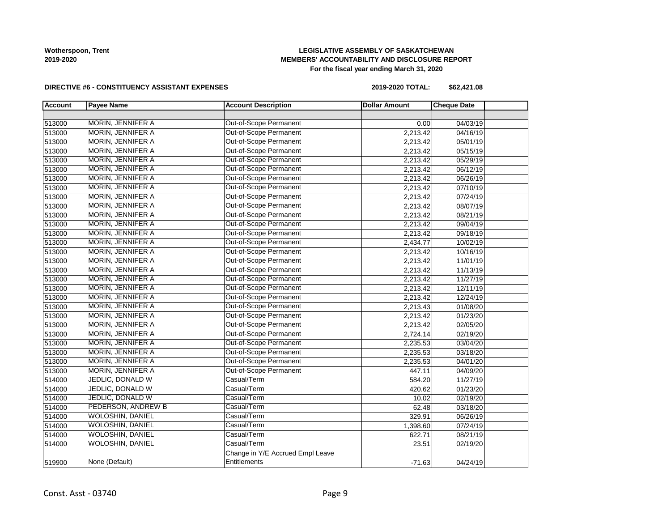## **LEGISLATIVE ASSEMBLY OF SASKATCHEWAN MEMBERS' ACCOUNTABILITY AND DISCLOSURE REPORT For the fiscal year ending March 31, 2020**

#### **DIRECTIVE #6 - CONSTITUENCY ASSISTANT EXPENSES**

**2019-2020 TOTAL: \$62,421.08**

| <b>Account</b> | <b>Payee Name</b>         | <b>Account Description</b>       | <b>Dollar Amount</b> | <b>Cheque Date</b> |  |
|----------------|---------------------------|----------------------------------|----------------------|--------------------|--|
|                |                           |                                  |                      |                    |  |
| 513000         | <b>MORIN, JENNIFER A</b>  | <b>Out-of-Scope Permanent</b>    | 0.00                 | 04/03/19           |  |
| 513000         | MORIN, JENNIFER A         | Out-of-Scope Permanent           | 2,213.42             | 04/16/19           |  |
| 513000         | MORIN, JENNIFER A         | Out-of-Scope Permanent           | 2,213.42             | 05/01/19           |  |
| 513000         | MORIN, JENNIFER A         | Out-of-Scope Permanent           | 2,213.42             | 05/15/19           |  |
| 513000         | <b>MORIN, JENNIFER A</b>  | Out-of-Scope Permanent           | 2,213.42             | 05/29/19           |  |
| 513000         | MORIN, JENNIFER A         | Out-of-Scope Permanent           | 2,213.42             | 06/12/19           |  |
| 513000         | MORIN, JENNIFER A         | Out-of-Scope Permanent           | 2,213.42             | 06/26/19           |  |
| 513000         | MORIN, JENNIFER A         | Out-of-Scope Permanent           | 2,213.42             | 07/10/19           |  |
| 513000         | MORIN, JENNIFER A         | Out-of-Scope Permanent           | 2,213.42             | 07/24/19           |  |
| 513000         | MORIN, JENNIFER A         | Out-of-Scope Permanent           | 2,213.42             | 08/07/19           |  |
| 513000         | MORIN, JENNIFER A         | Out-of-Scope Permanent           | 2,213.42             | 08/21/19           |  |
| 513000         | MORIN, JENNIFER A         | Out-of-Scope Permanent           | 2,213.42             | 09/04/19           |  |
| 513000         | MORIN, JENNIFER A         | Out-of-Scope Permanent           | 2,213.42             | 09/18/19           |  |
| 513000         | MORIN, JENNIFER A         | Out-of-Scope Permanent           | 2,434.77             | 10/02/19           |  |
| 513000         | MORIN, JENNIFER A         | Out-of-Scope Permanent           | 2,213.42             | 10/16/19           |  |
| 513000         | MORIN, JENNIFER A         | Out-of-Scope Permanent           | 2,213.42             | 11/01/19           |  |
| 513000         | <b>MORIN, JENNIFER A</b>  | Out-of-Scope Permanent           | 2,213.42             | 11/13/19           |  |
| 513000         | <b>MORIN, JENNIFER A</b>  | Out-of-Scope Permanent           | 2,213.42             | 11/27/19           |  |
| 513000         | MORIN, JENNIFER A         | Out-of-Scope Permanent           | 2,213.42             | 12/11/19           |  |
| 513000         | MORIN, JENNIFER A         | Out-of-Scope Permanent           | 2,213.42             | 12/24/19           |  |
| 513000         | MORIN, JENNIFER A         | Out-of-Scope Permanent           | 2,213.43             | 01/08/20           |  |
| 513000         | MORIN, JENNIFER A         | Out-of-Scope Permanent           | 2,213.42             | 01/23/20           |  |
| 513000         | MORIN, JENNIFER A         | Out-of-Scope Permanent           | 2,213.42             | 02/05/20           |  |
| 513000         | MORIN, JENNIFER A         | Out-of-Scope Permanent           | 2,724.14             | 02/19/20           |  |
| 513000         | MORIN, JENNIFER A         | Out-of-Scope Permanent           | 2,235.53             | 03/04/20           |  |
| 513000         | <b>MORIN, JENNIFER A</b>  | Out-of-Scope Permanent           | 2,235.53             | 03/18/20           |  |
| 513000         | <b>MORIN, JENNIFER A</b>  | Out-of-Scope Permanent           | 2,235.53             | 04/01/20           |  |
| 513000         | MORIN, JENNIFER A         | Out-of-Scope Permanent           | 447.11               | 04/09/20           |  |
| 514000         | JEDLIC, DONALD W          | Casual/Term                      | 584.20               | 11/27/19           |  |
| 514000         | <b>JEDLIC, DONALD W</b>   | Casual/Term                      | 420.62               | 01/23/20           |  |
| 514000         | JEDLIC, DONALD W          | Casual/Term                      | 10.02                | 02/19/20           |  |
| 514000         | <b>PEDERSON, ANDREW B</b> | Casual/Term                      | 62.48                | 03/18/20           |  |
| 514000         | <b>WOLOSHIN, DANIEL</b>   | Casual/Term                      | 329.91               | 06/26/19           |  |
| 514000         | <b>WOLOSHIN, DANIEL</b>   | Casual/Term                      | 1,398.60             | 07/24/19           |  |
| 514000         | <b>WOLOSHIN, DANIEL</b>   | Casual/Term                      | 622.71               | 08/21/19           |  |
| 514000         | <b>WOLOSHIN, DANIEL</b>   | Casual/Term                      | 23.51                | 02/19/20           |  |
|                |                           | Change in Y/E Accrued Empl Leave |                      |                    |  |
| 519900         | None (Default)            | Entitlements                     | $-71.63$             | 04/24/19           |  |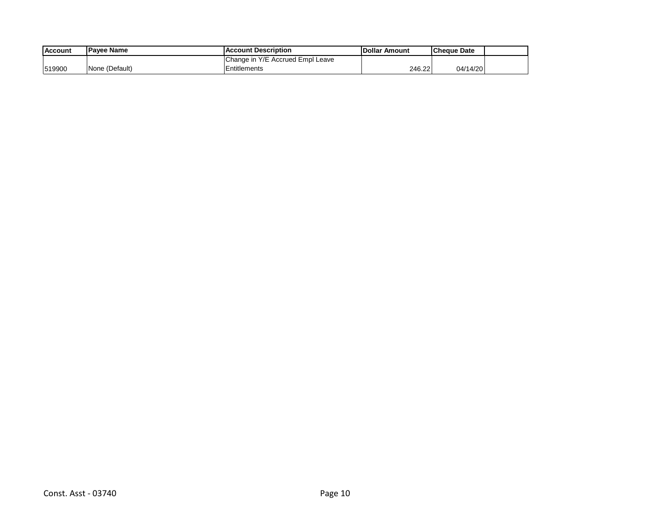| <b>Account</b> | <b>IPavee Name</b> | <b>IAccount Description</b>      | <b>IDollar Amount</b> | Cheque Date |  |
|----------------|--------------------|----------------------------------|-----------------------|-------------|--|
|                |                    | Change in Y/E Accrued Empl Leave |                       |             |  |
| 519900         | None (Default)     | Entitlements                     | 246.22                | 04/14/20    |  |